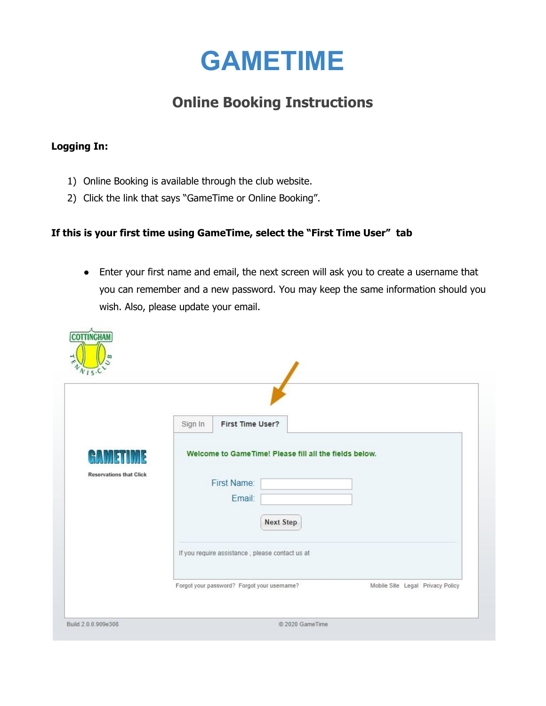

# **Online Booking Instructions**

## **Logging In:**

- 1) Online Booking is available through the club website.
- 2) Click the link that says "GameTime or Online Booking".

## **If this is your first time using GameTime, select the "First Time User" tab**

● Enter your first name and email, the next screen will ask you to create a username that you can remember and a new password. You may keep the same information should you wish. Also, please update your email.

|                                     | Sign In<br><b>First Time User?</b>                                                                  |  |
|-------------------------------------|-----------------------------------------------------------------------------------------------------|--|
| H<br><b>Reservations that Click</b> | Welcome to GameTime! Please fill all the fields below.<br>First Name:<br>Email:<br><b>Next Step</b> |  |
|                                     | If you require assistance, please contact us at                                                     |  |
|                                     |                                                                                                     |  |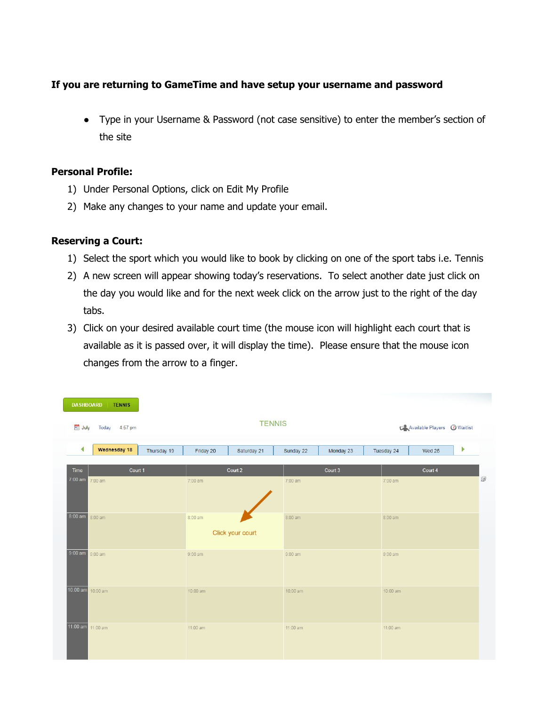## **If you are returning to GameTime and have setup your username and password**

● Type in your Username & Password (not case sensitive) to enter the member's section of the site

#### **Personal Profile:**

- 1) Under Personal Options, click on Edit My Profile
- 2) Make any changes to your name and update your email.

#### **Reserving a Court:**

- 1) Select the sport which you would like to book by clicking on one of the sport tabs i.e. Tennis
- 2) A new screen will appear showing today's reservations. To select another date just click on the day you would like and for the next week click on the arrow just to the right of the day tabs.
- 3) Click on your desired available court time (the mouse icon will highlight each court that is available as it is passed over, it will display the time). Please ensure that the mouse icon changes from the arrow to a finger.

| <b>DASHBOARD</b>        | <b>TENNIS</b>     |             |                   |                  |           |           |                   |                                       |                       |  |
|-------------------------|-------------------|-------------|-------------------|------------------|-----------|-----------|-------------------|---------------------------------------|-----------------------|--|
| a July<br>Today 4:57 pm |                   |             | <b>TENNIS</b>     |                  |           |           |                   | <b>CAAvailable Players O</b> Waitlist |                       |  |
| ◀                       | Wednesday 18      | Thursday 19 | Friday 20         | Saturday 21      | Sunday 22 | Monday 23 | Tuesday 24        | Wed 25                                | $\blacktriangleright$ |  |
| Time                    | Court 1           |             | Court 2           |                  |           | Court 3   |                   | Court 4                               |                       |  |
| $7:00$ am               | $7:00$ am         |             | $7:00$ am         |                  | $7:00$ am |           | $7:00$ am         |                                       | $\circledS$           |  |
|                         |                   |             |                   |                  |           |           |                   |                                       |                       |  |
| $8:00$ am               | $8:00 \text{ am}$ |             | $8:00 \text{ am}$ |                  | $8:00$ am |           | $8:00 \text{ am}$ |                                       |                       |  |
|                         |                   |             |                   | Click your court |           |           |                   |                                       |                       |  |
| 9:00 am 9:00 am         |                   |             | $9:00$ am         |                  | $9:00$ am |           | $9:00$ am         |                                       |                       |  |
|                         |                   |             |                   |                  |           |           |                   |                                       |                       |  |
| $10:00$ am $10:00$ am   |                   |             | 10:00 am          |                  | 10:00 am  |           | 10:00 am          |                                       |                       |  |
|                         |                   |             |                   |                  |           |           |                   |                                       |                       |  |
| 11:00 am 11:00 am       |                   |             | 11:00 am          |                  | 11:00 am  |           | 11:00 am          |                                       |                       |  |
|                         |                   |             |                   |                  |           |           |                   |                                       |                       |  |
|                         |                   |             |                   |                  |           |           |                   |                                       |                       |  |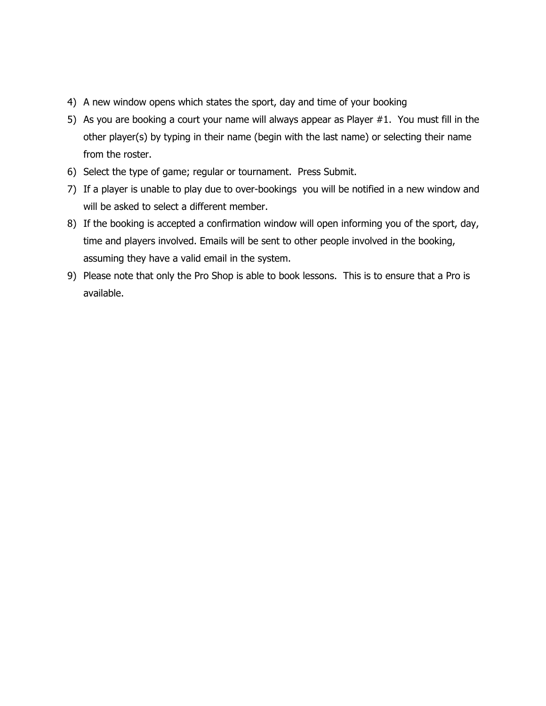- 4) A new window opens which states the sport, day and time of your booking
- 5) As you are booking a court your name will always appear as Player #1. You must fill in the other player(s) by typing in their name (begin with the last name) or selecting their name from the roster.
- 6) Select the type of game; regular or tournament. Press Submit.
- 7) If a player is unable to play due to over-bookings you will be notified in a new window and will be asked to select a different member.
- 8) If the booking is accepted a confirmation window will open informing you of the sport, day, time and players involved. Emails will be sent to other people involved in the booking, assuming they have a valid email in the system.
- 9) Please note that only the Pro Shop is able to book lessons. This is to ensure that a Pro is available.